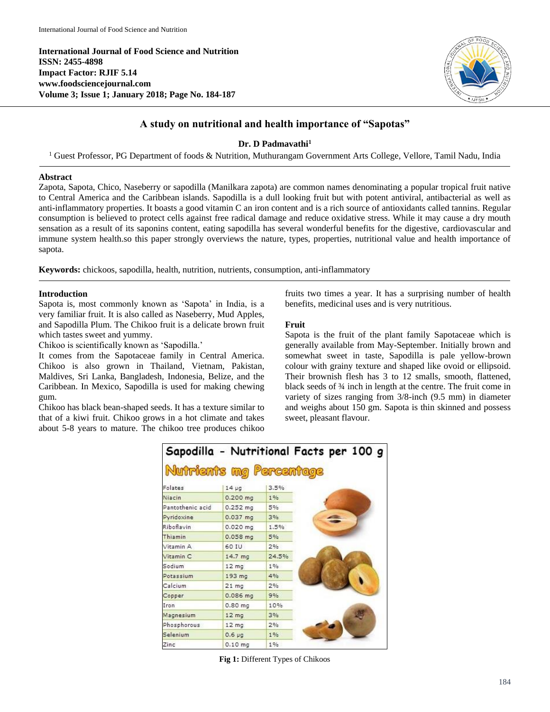**International Journal of Food Science and Nutrition ISSN: 2455-4898 Impact Factor: RJIF 5.14 www.foodsciencejournal.com Volume 3; Issue 1; January 2018; Page No. 184-187**



# **A study on nutritional and health importance of "Sapotas"**

**Dr. D Padmavathi<sup>1</sup>**

<sup>1</sup> Guest Professor, PG Department of foods & Nutrition, Muthurangam Government Arts College, Vellore, Tamil Nadu, India

#### **Abstract**

Zapota, Sapota, Chico, Naseberry or sapodilla (Manilkara zapota) are common names denominating a popular tropical fruit native to Central America and the Caribbean islands. Sapodilla is a dull looking fruit but with potent antiviral, antibacterial as well as anti-inflammatory properties. It boasts a good vitamin C an iron content and is a rich source of antioxidants called tannins. Regular consumption is believed to protect cells against free radical damage and reduce oxidative stress. While it may cause a dry mouth sensation as a result of its saponins content, eating sapodilla has several wonderful benefits for the digestive, cardiovascular and immune system health.so this paper strongly overviews the nature, types, properties, nutritional value and health importance of sapota.

**Keywords:** chickoos, sapodilla, health, nutrition, nutrients, consumption, anti-inflammatory

### **Introduction**

Sapota is, most commonly known as 'Sapota' in India, is a very familiar fruit. It is also called as Naseberry, Mud Apples, and Sapodilla Plum. The Chikoo fruit is a delicate brown fruit which tastes sweet and yummy.

Chikoo is scientifically known as 'Sapodilla.'

It comes from the Sapotaceae family in Central America. Chikoo is also grown in Thailand, Vietnam, Pakistan, Maldives, Sri Lanka, Bangladesh, Indonesia, Belize, and the Caribbean. In Mexico, Sapodilla is used for making chewing gum.

Chikoo has black bean-shaped seeds. It has a texture similar to that of a kiwi fruit. Chikoo grows in a hot climate and takes about 5-8 years to mature. The chikoo tree produces chikoo fruits two times a year. It has a surprising number of health benefits, medicinal uses and is very nutritious.

### **Fruit**

Sapota is the fruit of the plant family Sapotaceae which is generally available from May-September. Initially brown and somewhat sweet in taste, Sapodilla is pale yellow-brown colour with grainy texture and shaped like ovoid or ellipsoid. Their brownish flesh has 3 to 12 smalls, smooth, flattened, black seeds of ¾ inch in length at the centre. The fruit come in variety of sizes ranging from 3/8-inch (9.5 mm) in diameter and weighs about 150 gm. Sapota is thin skinned and possess sweet, pleasant flavour.

|                         |                  |       | Sapodilla - Nutritional Facts per 100 g |  |
|-------------------------|------------------|-------|-----------------------------------------|--|
| Nutrients mg Percentage |                  |       |                                         |  |
| Folates                 | $14 \mu g$       | 3.5%  |                                         |  |
| Niacin                  | $0.200$ mg       | 1%    |                                         |  |
| Pantothenic acid        | $0.252$ mg       | 5%    |                                         |  |
| Pyridoxine              | $0.037$ mg       | 3%    |                                         |  |
| Riboflavin              | $0.020$ mg       | 1.5%  |                                         |  |
| Thiamin                 | $0.058$ mg       | 5%    |                                         |  |
| Vitamin A               | 60 IU            | 2%    |                                         |  |
| Vitamin <sub>C</sub>    | 14.7 mg          | 24.5% |                                         |  |
| Sodium                  | 12 <sub>mg</sub> | 1%    |                                         |  |
| Potassium               | 193 mg           | 4%    |                                         |  |
| Calcium                 | $21 \text{ mg}$  | 2%    |                                         |  |
| Copper                  | 0.086 mg         | 9%    |                                         |  |
| Iron                    | $0.80$ mg        | 10%   |                                         |  |
| Magnesium               | 12 <sub>mg</sub> | 3%    |                                         |  |
| Phosphorous             | 12 <sub>mg</sub> | 2%    |                                         |  |
| Selenium                | $0.6 \mu$ g      | 1%    |                                         |  |
| Zinc                    | $0.10$ mg        | 1%    |                                         |  |

**Fig 1:** Different Types of Chikoos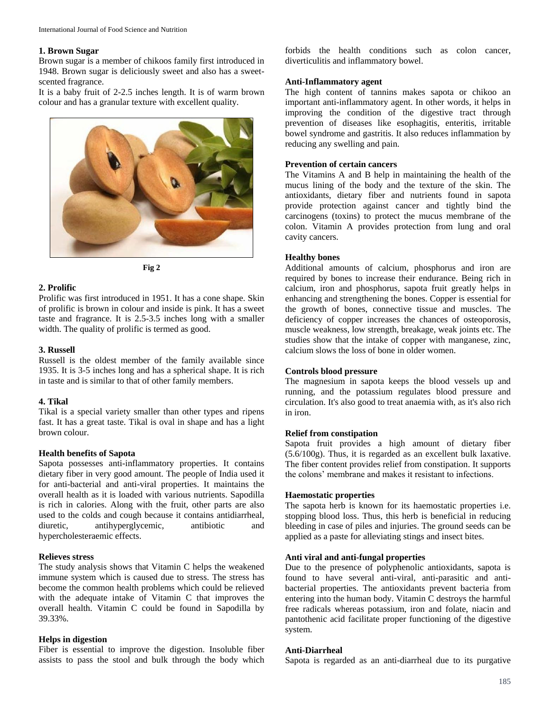#### **1. Brown Sugar**

Brown sugar is a member of chikoos family first introduced in 1948. Brown sugar is deliciously sweet and also has a sweetscented fragrance.

It is a baby fruit of 2-2.5 inches length. It is of warm brown colour and has a granular texture with excellent quality.





### **2. Prolific**

Prolific was first introduced in 1951. It has a cone shape. Skin of prolific is brown in colour and inside is pink. It has a sweet taste and fragrance. It is 2.5-3.5 inches long with a smaller width. The quality of prolific is termed as good.

### **3. Russell**

Russell is the oldest member of the family available since 1935. It is 3-5 inches long and has a spherical shape. It is rich in taste and is similar to that of other family members.

### **4. Tikal**

Tikal is a special variety smaller than other types and ripens fast. It has a great taste. Tikal is oval in shape and has a light brown colour.

### **Health benefits of Sapota**

Sapota possesses anti-inflammatory properties. It contains dietary fiber in very good amount. The people of India used it for anti-bacterial and anti-viral properties. It maintains the overall health as it is loaded with various nutrients. Sapodilla is rich in calories. Along with the fruit, other parts are also used to the colds and cough because it contains antidiarrheal, diuretic, antihyperglycemic, antibiotic and hypercholesteraemic effects.

### **Relieves stress**

The study analysis shows that Vitamin C helps the weakened immune system which is caused due to stress. The stress has become the common health problems which could be relieved with the adequate intake of Vitamin C that improves the overall health. Vitamin C could be found in Sapodilla by 39.33%.

### **Helps in digestion**

Fiber is essential to improve the digestion. Insoluble fiber assists to pass the stool and bulk through the body which

forbids the health conditions such as colon cancer, diverticulitis and inflammatory bowel.

### **Anti-Inflammatory agent**

The high content of tannins makes sapota or chikoo an important anti-inflammatory agent. In other words, it helps in improving the condition of the digestive tract through prevention of diseases like esophagitis, enteritis, irritable bowel syndrome and gastritis. It also reduces inflammation by reducing any swelling and pain.

### **Prevention of certain cancers**

The Vitamins A and B help in maintaining the health of the mucus lining of the body and the texture of the skin. The antioxidants, dietary fiber and nutrients found in sapota provide protection against cancer and tightly bind the carcinogens (toxins) to protect the mucus membrane of the colon. Vitamin A provides protection from lung and oral cavity cancers.

### **Healthy bones**

Additional amounts of calcium, phosphorus and iron are required by bones to increase their endurance. Being rich in calcium, iron and phosphorus, sapota fruit greatly helps in enhancing and strengthening the bones. Copper is essential for the growth of bones, connective tissue and muscles. The deficiency of copper increases the chances of osteoporosis, muscle weakness, low strength, breakage, weak joints etc. The studies show that the intake of copper with manganese, zinc, calcium slows the loss of bone in older women.

### **Controls blood pressure**

The magnesium in sapota keeps the blood vessels up and running, and the potassium regulates blood pressure and circulation. It's also good to treat anaemia with, as it's also rich in iron.

### **Relief from constipation**

Sapota fruit provides a high amount of dietary fiber (5.6/100g). Thus, it is regarded as an excellent bulk laxative. The fiber content provides relief from constipation. It supports the colons' membrane and makes it resistant to infections.

### **Haemostatic properties**

The sapota herb is known for its haemostatic properties i.e. stopping blood loss. Thus, this herb is beneficial in reducing bleeding in case of piles and injuries. The ground seeds can be applied as a paste for alleviating stings and insect bites.

### **Anti viral and anti-fungal properties**

Due to the presence of polyphenolic antioxidants, sapota is found to have several anti-viral, anti-parasitic and antibacterial properties. The antioxidants prevent bacteria from entering into the human body. Vitamin C destroys the harmful free radicals whereas potassium, iron and folate, niacin and pantothenic acid facilitate proper functioning of the digestive system.

### **Anti-Diarrheal**

Sapota is regarded as an anti-diarrheal due to its purgative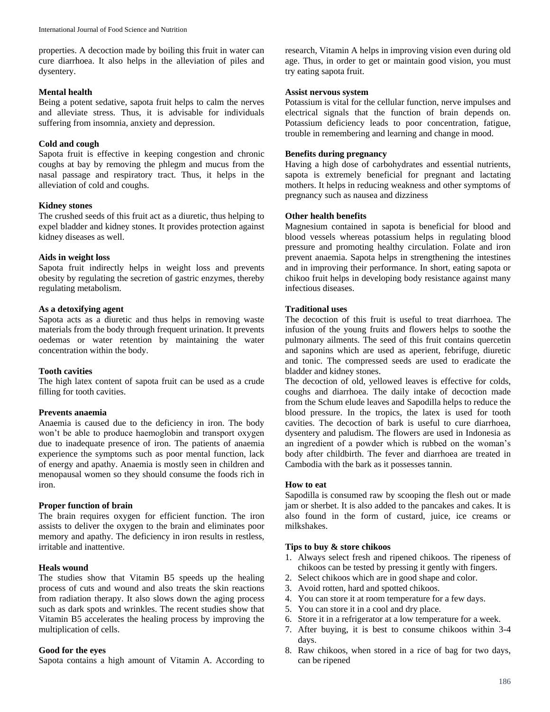properties. A decoction made by boiling this fruit in water can cure diarrhoea. It also helps in the alleviation of piles and dysentery.

## **Mental health**

Being a potent sedative, sapota fruit helps to calm the nerves and alleviate stress. Thus, it is advisable for individuals suffering from insomnia, anxiety and depression.

## **Cold and cough**

Sapota fruit is effective in keeping congestion and chronic coughs at bay by removing the phlegm and mucus from the nasal passage and respiratory tract. Thus, it helps in the alleviation of cold and coughs.

# **Kidney stones**

The crushed seeds of this fruit act as a diuretic, thus helping to expel bladder and kidney stones. It provides protection against kidney diseases as well.

## **Aids in weight loss**

Sapota fruit indirectly helps in weight loss and prevents obesity by regulating the secretion of gastric enzymes, thereby regulating metabolism.

## **As a detoxifying agent**

Sapota acts as a diuretic and thus helps in removing waste materials from the body through frequent urination. It prevents oedemas or water retention by maintaining the water concentration within the body.

# **Tooth cavities**

The high latex content of sapota fruit can be used as a crude filling for tooth cavities.

## **Prevents anaemia**

Anaemia is caused due to the deficiency in iron. The body won't be able to produce haemoglobin and transport oxygen due to inadequate presence of iron. The patients of anaemia experience the symptoms such as poor mental function, lack of energy and apathy. Anaemia is mostly seen in children and menopausal women so they should consume the foods rich in iron.

## **Proper function of brain**

The brain requires oxygen for efficient function. The iron assists to deliver the oxygen to the brain and eliminates poor memory and apathy. The deficiency in iron results in restless, irritable and inattentive.

## **Heals wound**

The studies show that Vitamin B5 speeds up the healing process of cuts and wound and also treats the skin reactions from radiation therapy. It also slows down the aging process such as dark spots and wrinkles. The recent studies show that Vitamin B5 accelerates the healing process by improving the multiplication of cells.

## **Good for the eyes**

Sapota contains a high amount of Vitamin A. According to

research, Vitamin A helps in improving vision even during old age. Thus, in order to get or maintain good vision, you must try eating sapota fruit.

## **Assist nervous system**

Potassium is vital for the cellular function, nerve impulses and electrical signals that the function of brain depends on. Potassium deficiency leads to poor concentration, fatigue, trouble in remembering and learning and change in mood.

## **Benefits during pregnancy**

Having a high dose of carbohydrates and essential nutrients, sapota is extremely beneficial for pregnant and lactating mothers. It helps in reducing weakness and other symptoms of pregnancy such as nausea and dizziness

## **Other health benefits**

Magnesium contained in sapota is beneficial for blood and blood vessels whereas potassium helps in regulating blood pressure and promoting healthy circulation. Folate and iron prevent anaemia. Sapota helps in strengthening the intestines and in improving their performance. In short, eating sapota or chikoo fruit helps in developing body resistance against many infectious diseases.

### **Traditional uses**

The decoction of this fruit is useful to treat diarrhoea. The infusion of the young fruits and flowers helps to soothe the pulmonary ailments. The seed of this fruit contains quercetin and saponins which are used as aperient, febrifuge, diuretic and tonic. The compressed seeds are used to eradicate the bladder and kidney stones.

The decoction of old, yellowed leaves is effective for colds, coughs and diarrhoea. The daily intake of decoction made from the Schum elude leaves and Sapodilla helps to reduce the blood pressure. In the tropics, the latex is used for tooth cavities. The decoction of bark is useful to cure diarrhoea, dysentery and paludism. The flowers are used in Indonesia as an ingredient of a powder which is rubbed on the woman's body after childbirth. The fever and diarrhoea are treated in Cambodia with the bark as it possesses tannin.

### **How to eat**

Sapodilla is consumed raw by scooping the flesh out or made jam or sherbet. It is also added to the pancakes and cakes. It is also found in the form of custard, juice, ice creams or milkshakes.

### **Tips to buy & store chikoos**

- 1. Always select fresh and ripened chikoos. The ripeness of chikoos can be tested by pressing it gently with fingers.
- 2. Select chikoos which are in good shape and color.
- 3. Avoid rotten, hard and spotted chikoos.
- 4. You can store it at room temperature for a few days.
- 5. You can store it in a cool and dry place.
- 6. Store it in a refrigerator at a low temperature for a week.
- 7. After buying, it is best to consume chikoos within 3-4 days.
- 8. Raw chikoos, when stored in a rice of bag for two days, can be ripened